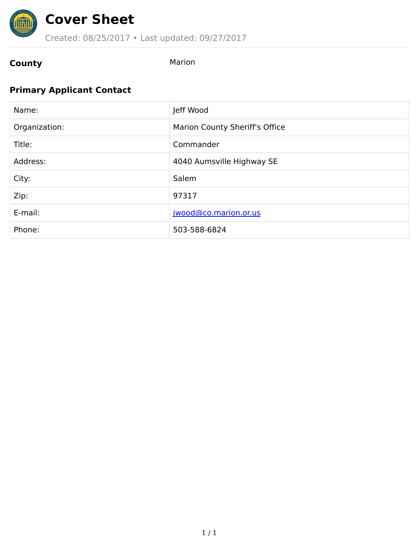

### Created: 08/25/2017 • Last updated: 09/27/2017

## **County** Marion

### **Primary Applicant Contact**

| Name:         | Jeff Wood                      |
|---------------|--------------------------------|
| Organization: | Marion County Sheriff's Office |
| Title:        | Commander                      |
| Address:      | 4040 Aumsville Highway SE      |
| City:         | Salem                          |
| Zip:          | 97317                          |
| E-mail:       | jwood@co.marion.or.us          |
| Phone:        | 503-588-6824                   |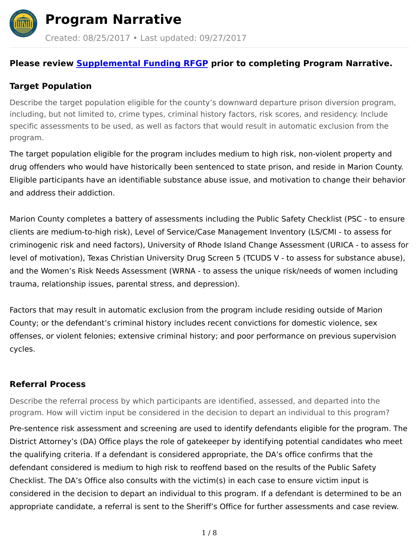

**Program Narrative**

Created: 08/25/2017 • Last updated: 09/27/2017

### **Please review [Supplemental](http://www.oregon.gov/cjc/jri-grant/Documents/2017-19_Sup_JR_RFGP.pdf) Funding RFGP prior to completing Program Narrative.**

### **Target Population**

Describe the target population eligible for the county's downward departure prison diversion program, including, but not limited to, crime types, criminal history factors, risk scores, and residency. Include specific assessments to be used, as well as factors that would result in automatic exclusion from the program.

The target population eligible for the program includes medium to high risk, non-violent property and drug offenders who would have historically been sentenced to state prison, and reside in Marion County. Eligible participants have an identifiable substance abuse issue, and motivation to change their behavior and address their addiction.

Marion County completes a battery of assessments including the Public Safety Checklist (PSC - to ensure clients are medium-to-high risk), Level of Service/Case Management Inventory (LS/CMI - to assess for criminogenic risk and need factors), University of Rhode Island Change Assessment (URICA - to assess for level of motivation), Texas Christian University Drug Screen 5 (TCUDS V - to assess for substance abuse), and the Women's Risk Needs Assessment (WRNA - to assess the unique risk/needs of women including trauma, relationship issues, parental stress, and depression).

Factors that may result in automatic exclusion from the program include residing outside of Marion County; or the defendant's criminal history includes recent convictions for domestic violence, sex offenses, or violent felonies; extensive criminal history; and poor performance on previous supervision cycles.

### **Referral Process**

Describe the referral process by which participants are identified, assessed, and departed into the program. How will victim input be considered in the decision to depart an individual to this program?

Pre-sentence risk assessment and screening are used to identify defendants eligible for the program. The District Attorney's (DA) Office plays the role of gatekeeper by identifying potential candidates who meet the qualifying criteria. If a defendant is considered appropriate, the DA's office confirms that the defendant considered is medium to high risk to reoffend based on the results of the Public Safety Checklist. The DA's Office also consults with the victim(s) in each case to ensure victim input is considered in the decision to depart an individual to this program. If a defendant is determined to be an appropriate candidate, a referral is sent to the Sheriff's Office for further assessments and case review.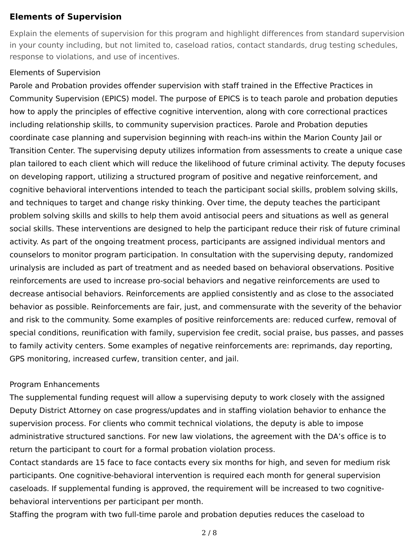#### **Elements of Supervision**

Explain the elements of supervision for this program and highlight differences from standard supervision in your county including, but not limited to, caseload ratios, contact standards, drug testing schedules, response to violations, and use of incentives.

#### Elements of Supervision

Parole and Probation provides offender supervision with staff trained in the Effective Practices in Community Supervision (EPICS) model. The purpose of EPICS is to teach parole and probation deputies how to apply the principles of effective cognitive intervention, along with core correctional practices including relationship skills, to community supervision practices. Parole and Probation deputies coordinate case planning and supervision beginning with reach-ins within the Marion County Jail or Transition Center. The supervising deputy utilizes information from assessments to create a unique case plan tailored to each client which will reduce the likelihood of future criminal activity. The deputy focuses on developing rapport, utilizing a structured program of positive and negative reinforcement, and cognitive behavioral interventions intended to teach the participant social skills, problem solving skills, and techniques to target and change risky thinking. Over time, the deputy teaches the participant problem solving skills and skills to help them avoid antisocial peers and situations as well as general social skills. These interventions are designed to help the participant reduce their risk of future criminal activity. As part of the ongoing treatment process, participants are assigned individual mentors and counselors to monitor program participation. In consultation with the supervising deputy, randomized urinalysis are included as part of treatment and as needed based on behavioral observations. Positive reinforcements are used to increase pro-social behaviors and negative reinforcements are used to decrease antisocial behaviors. Reinforcements are applied consistently and as close to the associated behavior as possible. Reinforcements are fair, just, and commensurate with the severity of the behavior and risk to the community. Some examples of positive reinforcements are: reduced curfew, removal of special conditions, reunification with family, supervision fee credit, social praise, bus passes, and passes to family activity centers. Some examples of negative reinforcements are: reprimands, day reporting, GPS monitoring, increased curfew, transition center, and jail.

#### Program Enhancements

The supplemental funding request will allow a supervising deputy to work closely with the assigned Deputy District Attorney on case progress/updates and in staffing violation behavior to enhance the supervision process. For clients who commit technical violations, the deputy is able to impose administrative structured sanctions. For new law violations, the agreement with the DA's office is to return the participant to court for a formal probation violation process.

Contact standards are 15 face to face contacts every six months for high, and seven for medium risk participants. One cognitive-behavioral intervention is required each month for general supervision caseloads. If supplemental funding is approved, the requirement will be increased to two cognitivebehavioral interventions per participant per month.

Staffing the program with two full-time parole and probation deputies reduces the caseload to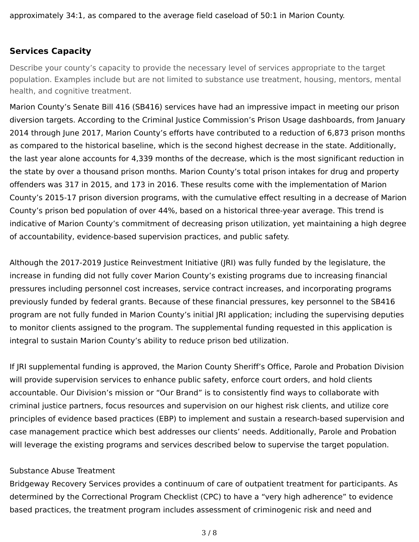### **Services Capacity**

Describe your county's capacity to provide the necessary level of services appropriate to the target population. Examples include but are not limited to substance use treatment, housing, mentors, mental health, and cognitive treatment.

Marion County's Senate Bill 416 (SB416) services have had an impressive impact in meeting our prison diversion targets. According to the Criminal Justice Commission's Prison Usage dashboards, from January 2014 through June 2017, Marion County's efforts have contributed to a reduction of 6,873 prison months as compared to the historical baseline, which is the second highest decrease in the state. Additionally, the last year alone accounts for 4,339 months of the decrease, which is the most significant reduction in the state by over a thousand prison months. Marion County's total prison intakes for drug and property offenders was 317 in 2015, and 173 in 2016. These results come with the implementation of Marion County's 2015-17 prison diversion programs, with the cumulative effect resulting in a decrease of Marion County's prison bed population of over 44%, based on a historical three-year average. This trend is indicative of Marion County's commitment of decreasing prison utilization, yet maintaining a high degree of accountability, evidence-based supervision practices, and public safety.

Although the 2017-2019 Justice Reinvestment Initiative (JRI) was fully funded by the legislature, the increase in funding did not fully cover Marion County's existing programs due to increasing financial pressures including personnel cost increases, service contract increases, and incorporating programs previously funded by federal grants. Because of these financial pressures, key personnel to the SB416 program are not fully funded in Marion County's initial JRI application; including the supervising deputies to monitor clients assigned to the program. The supplemental funding requested in this application is integral to sustain Marion County's ability to reduce prison bed utilization.

If JRI supplemental funding is approved, the Marion County Sheriff's Office, Parole and Probation Division will provide supervision services to enhance public safety, enforce court orders, and hold clients accountable. Our Division's mission or "Our Brand" is to consistently find ways to collaborate with criminal justice partners, focus resources and supervision on our highest risk clients, and utilize core principles of evidence based practices (EBP) to implement and sustain a research-based supervision and case management practice which best addresses our clients' needs. Additionally, Parole and Probation will leverage the existing programs and services described below to supervise the target population.

#### Substance Abuse Treatment

Bridgeway Recovery Services provides a continuum of care of outpatient treatment for participants. As determined by the Correctional Program Checklist (CPC) to have a "very high adherence" to evidence based practices, the treatment program includes assessment of criminogenic risk and need and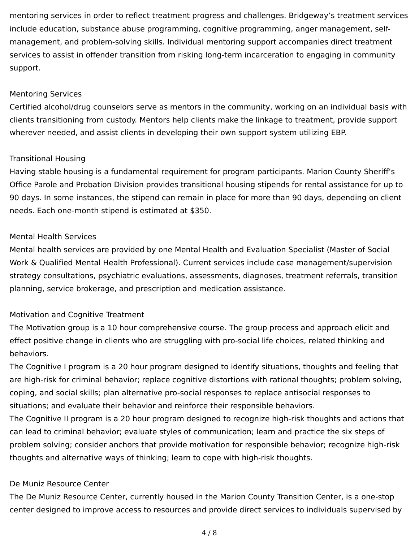mentoring services in order to reflect treatment progress and challenges. Bridgeway's treatment services include education, substance abuse programming, cognitive programming, anger management, selfmanagement, and problem-solving skills. Individual mentoring support accompanies direct treatment services to assist in offender transition from risking long-term incarceration to engaging in community support.

#### Mentoring Services

Certified alcohol/drug counselors serve as mentors in the community, working on an individual basis with clients transitioning from custody. Mentors help clients make the linkage to treatment, provide support wherever needed, and assist clients in developing their own support system utilizing EBP.

#### Transitional Housing

Having stable housing is a fundamental requirement for program participants. Marion County Sheriff's Office Parole and Probation Division provides transitional housing stipends for rental assistance for up to 90 days. In some instances, the stipend can remain in place for more than 90 days, depending on client needs. Each one-month stipend is estimated at \$350.

#### Mental Health Services

Mental health services are provided by one Mental Health and Evaluation Specialist (Master of Social Work & Qualified Mental Health Professional). Current services include case management/supervision strategy consultations, psychiatric evaluations, assessments, diagnoses, treatment referrals, transition planning, service brokerage, and prescription and medication assistance.

#### Motivation and Cognitive Treatment

The Motivation group is a 10 hour comprehensive course. The group process and approach elicit and effect positive change in clients who are struggling with pro-social life choices, related thinking and behaviors.

The Cognitive I program is a 20 hour program designed to identify situations, thoughts and feeling that are high-risk for criminal behavior; replace cognitive distortions with rational thoughts; problem solving, coping, and social skills; plan alternative pro-social responses to replace antisocial responses to situations; and evaluate their behavior and reinforce their responsible behaviors.

The Cognitive II program is a 20 hour program designed to recognize high-risk thoughts and actions that can lead to criminal behavior; evaluate styles of communication; learn and practice the six steps of problem solving; consider anchors that provide motivation for responsible behavior; recognize high-risk thoughts and alternative ways of thinking; learn to cope with high-risk thoughts.

#### De Muniz Resource Center

The De Muniz Resource Center, currently housed in the Marion County Transition Center, is a one-stop center designed to improve access to resources and provide direct services to individuals supervised by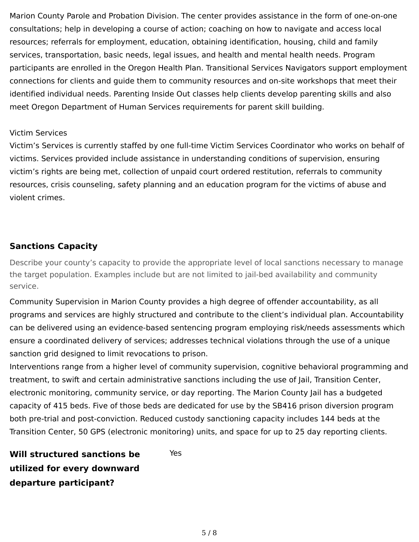Marion County Parole and Probation Division. The center provides assistance in the form of one-on-one consultations; help in developing a course of action; coaching on how to navigate and access local resources; referrals for employment, education, obtaining identification, housing, child and family services, transportation, basic needs, legal issues, and health and mental health needs. Program participants are enrolled in the Oregon Health Plan. Transitional Services Navigators support employment connections for clients and guide them to community resources and on-site workshops that meet their identified individual needs. Parenting Inside Out classes help clients develop parenting skills and also meet Oregon Department of Human Services requirements for parent skill building.

#### Victim Services

Victim's Services is currently staffed by one full-time Victim Services Coordinator who works on behalf of victims. Services provided include assistance in understanding conditions of supervision, ensuring victim's rights are being met, collection of unpaid court ordered restitution, referrals to community resources, crisis counseling, safety planning and an education program for the victims of abuse and violent crimes.

#### **Sanctions Capacity**

Describe your county's capacity to provide the appropriate level of local sanctions necessary to manage the target population. Examples include but are not limited to jail-bed availability and community service.

Community Supervision in Marion County provides a high degree of offender accountability, as all programs and services are highly structured and contribute to the client's individual plan. Accountability can be delivered using an evidence-based sentencing program employing risk/needs assessments which ensure a coordinated delivery of services; addresses technical violations through the use of a unique sanction grid designed to limit revocations to prison.

Interventions range from a higher level of community supervision, cognitive behavioral programming and treatment, to swift and certain administrative sanctions including the use of Jail, Transition Center, electronic monitoring, community service, or day reporting. The Marion County Jail has a budgeted capacity of 415 beds. Five of those beds are dedicated for use by the SB416 prison diversion program both pre-trial and post-conviction. Reduced custody sanctioning capacity includes 144 beds at the Transition Center, 50 GPS (electronic monitoring) units, and space for up to 25 day reporting clients.

**Will structured sanctions be utilized for every downward departure participant?** Yes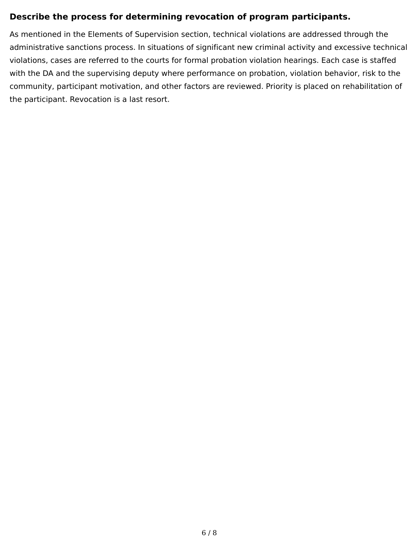### **Describe the process for determining revocation of program participants.**

As mentioned in the Elements of Supervision section, technical violations are addressed through the administrative sanctions process. In situations of significant new criminal activity and excessive technical violations, cases are referred to the courts for formal probation violation hearings. Each case is staffed with the DA and the supervising deputy where performance on probation, violation behavior, risk to the community, participant motivation, and other factors are reviewed. Priority is placed on rehabilitation of the participant. Revocation is a last resort.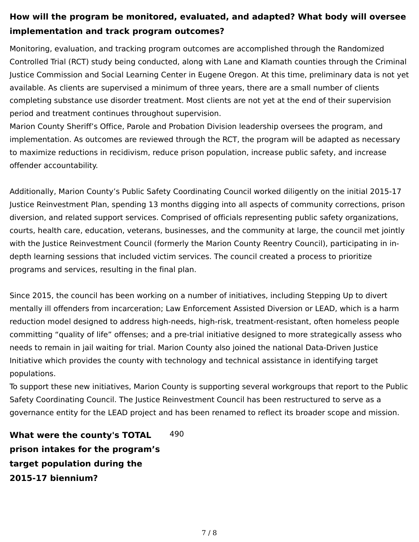### **How will the program be monitored, evaluated, and adapted? What body will oversee implementation and track program outcomes?**

Monitoring, evaluation, and tracking program outcomes are accomplished through the Randomized Controlled Trial (RCT) study being conducted, along with Lane and Klamath counties through the Criminal Justice Commission and Social Learning Center in Eugene Oregon. At this time, preliminary data is not yet available. As clients are supervised a minimum of three years, there are a small number of clients completing substance use disorder treatment. Most clients are not yet at the end of their supervision period and treatment continues throughout supervision.

Marion County Sheriff's Office, Parole and Probation Division leadership oversees the program, and implementation. As outcomes are reviewed through the RCT, the program will be adapted as necessary to maximize reductions in recidivism, reduce prison population, increase public safety, and increase offender accountability.

Additionally, Marion County's Public Safety Coordinating Council worked diligently on the initial 2015-17 Justice Reinvestment Plan, spending 13 months digging into all aspects of community corrections, prison diversion, and related support services. Comprised of officials representing public safety organizations, courts, health care, education, veterans, businesses, and the community at large, the council met jointly with the Justice Reinvestment Council (formerly the Marion County Reentry Council), participating in indepth learning sessions that included victim services. The council created a process to prioritize programs and services, resulting in the final plan.

Since 2015, the council has been working on a number of initiatives, including Stepping Up to divert mentally ill offenders from incarceration; Law Enforcement Assisted Diversion or LEAD, which is a harm reduction model designed to address high-needs, high-risk, treatment-resistant, often homeless people committing "quality of life" offenses; and a pre-trial initiative designed to more strategically assess who needs to remain in jail waiting for trial. Marion County also joined the national Data-Driven Justice Initiative which provides the county with technology and technical assistance in identifying target populations.

To support these new initiatives, Marion County is supporting several workgroups that report to the Public Safety Coordinating Council. The Justice Reinvestment Council has been restructured to serve as a governance entity for the LEAD project and has been renamed to reflect its broader scope and mission.

**What were the county's TOTAL prison intakes for the program's target population during the 2015-17 biennium?** 490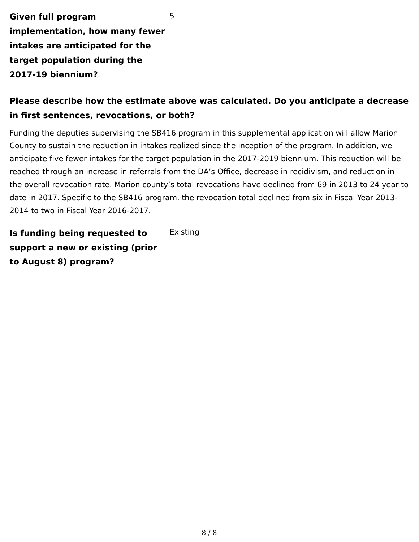**Given full program implementation, how many fewer intakes are anticipated for the target population during the 2017-19 biennium?** 5

### **Please describe how the estimate above was calculated. Do you anticipate a decrease in first sentences, revocations, or both?**

Funding the deputies supervising the SB416 program in this supplemental application will allow Marion County to sustain the reduction in intakes realized since the inception of the program. In addition, we anticipate five fewer intakes for the target population in the 2017-2019 biennium. This reduction will be reached through an increase in referrals from the DA's Office, decrease in recidivism, and reduction in the overall revocation rate. Marion county's total revocations have declined from 69 in 2013 to 24 year to date in 2017. Specific to the SB416 program, the revocation total declined from six in Fiscal Year 2013- 2014 to two in Fiscal Year 2016-2017.

**Is funding being requested to support a new or existing (prior to August 8) program? Existing**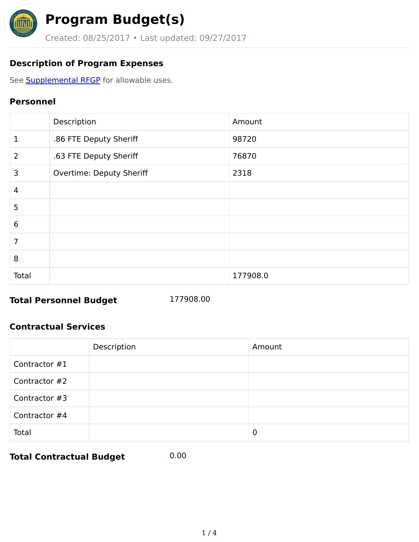

# **Program Budget(s)**

Created: 08/25/2017 • Last updated: 09/27/2017

### **Description of Program Expenses**

See **[Supplemental](http://www.oregon.gov/cjc/jri-grant/Documents/2017-19_Sup_JR_RFGP.pdf) RFGP** for allowable uses.

### **Personnel**

|                | Description              | Amount   |
|----------------|--------------------------|----------|
| 1              | .86 FTE Deputy Sheriff   | 98720    |
| 2              | .63 FTE Deputy Sheriff   | 76870    |
| 3              | Overtime: Deputy Sheriff | 2318     |
| $\overline{4}$ |                          |          |
| 5              |                          |          |
| 6              |                          |          |
| 7              |                          |          |
| 8              |                          |          |
| Total          |                          | 177908.0 |

### **Total Personnel Budget** 177908.00

### **Contractual Services**

|               | Description | Amount |
|---------------|-------------|--------|
| Contractor #1 |             |        |
| Contractor #2 |             |        |
| Contractor #3 |             |        |
| Contractor #4 |             |        |
| Total         |             | 0      |

**Total Contractual Budget** 0.00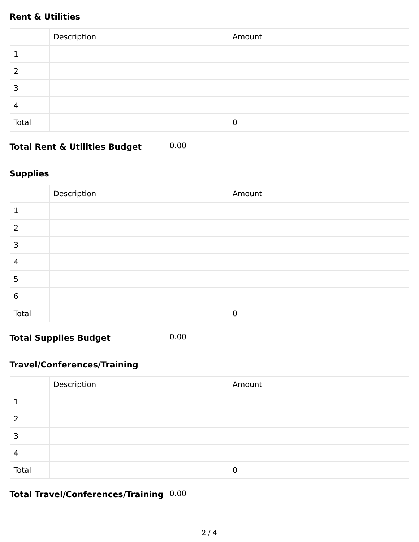### **Rent & Utilities**

|                | Description | Amount |
|----------------|-------------|--------|
|                |             |        |
| 2              |             |        |
| 3              |             |        |
| $\overline{4}$ |             |        |
| Total          |             | 0      |

**Total Rent & Utilities Budget** 0.00

### **Supplies**

|        | Description | Amount |
|--------|-------------|--------|
|        |             |        |
| 2      |             |        |
| っ<br>э |             |        |
| 4      |             |        |
| 5      |             |        |
| 6      |             |        |
| Total  |             | 0      |

**Total Supplies Budget** 0.00

### **Travel/Conferences/Training**

|       | Description | Amount |
|-------|-------------|--------|
|       |             |        |
| 2     |             |        |
| 3     |             |        |
| 4     |             |        |
| Total |             | 0      |

### **Total Travel/Conferences/Training** 0.00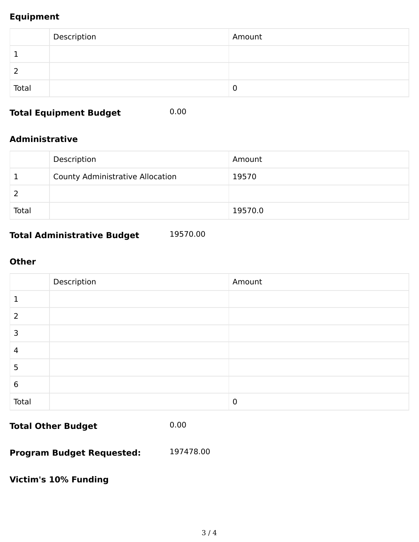### **Equipment**

|       | Description | Amount |
|-------|-------------|--------|
|       |             |        |
| 2     |             |        |
| Total |             | 0      |

### **Total Equipment Budget** 0.00

#### **Administrative**

|       | Description                             | Amount  |
|-------|-----------------------------------------|---------|
|       | <b>County Administrative Allocation</b> | 19570   |
|       |                                         |         |
| Total |                                         | 19570.0 |

### **Total Administrative Budget** 19570.00

#### **Other**

|       | Description | Amount |
|-------|-------------|--------|
|       |             |        |
| 2     |             |        |
| 3     |             |        |
| 4     |             |        |
| 5     |             |        |
| 6     |             |        |
| Total |             | 0      |

**Total Other Budget** 0.00

**Program Budget Requested:** 197478.00

**Victim's 10% Funding**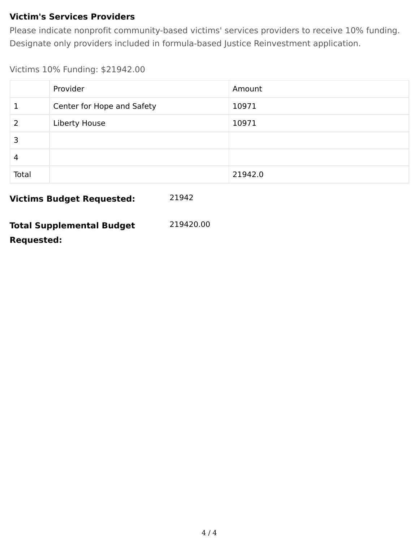### **Victim's Services Providers**

Please indicate nonprofit community-based victims' services providers to receive 10% funding. Designate only providers included in formula-based Justice Reinvestment application.

Victims 10% Funding: \$21942.00

|       | Provider                   | Amount  |
|-------|----------------------------|---------|
|       | Center for Hope and Safety | 10971   |
|       | Liberty House              | 10971   |
| 3     |                            |         |
| 4     |                            |         |
| Total |                            | 21942.0 |

**Victims Budget Requested:** 21942

| <b>Total Supplemental Budget</b> | 219420.00 |
|----------------------------------|-----------|
| <b>Requested:</b>                |           |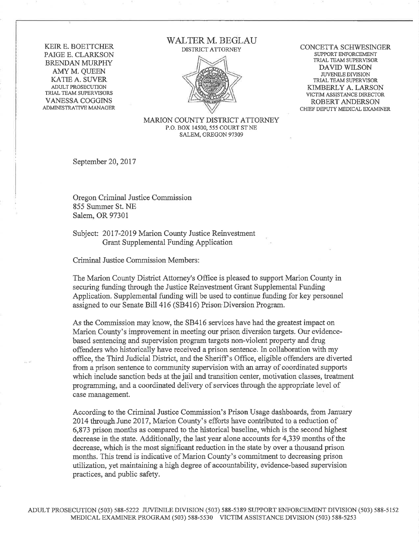**KEIR E. BOETTCHER** PAIGE E. CLARKSON **BRENDAN MURPHY** AMY M. QUEEN **KATIE A. SUVER** ADULT PROSECUTION TRIAL TEAM SUPERVISORS **VANESSA COGGINS** ADMINISTRATIVE MANAGER

#### **WALTER M. BEGLAU** DISTRICT ATTORNEY



CONCETTA SCHWESINGER SUPPORT ENFORCEMENT TRIAL TEAM SUPERVISOR **DAVID WILSON JUVENILE DIVISION** TRIAL TEAM SUPERVISOR KIMBERLY A. LARSON VICTIM ASSISTANCE DIRECTOR **ROBERT ANDERSON** CHIEF DEPUTY MEDICAL EXAMINER

MARION COUNTY DISTRICT ATTORNEY P.O. BOX 14500, 555 COURT ST NE SALEM, OREGON 97309

September 20, 2017

Oregon Criminal Justice Commission 855 Summer St. NE Salem, OR 97301

Subject: 2017-2019 Marion County Justice Reinvestment Grant Supplemental Funding Application

Criminal Justice Commission Members:

The Marion County District Attorney's Office is pleased to support Marion County in securing funding through the Justice Reinvestment Grant Supplemental Funding Application. Supplemental funding will be used to continue funding for key personnel assigned to our Senate Bill 416 (SB416) Prison Diversion Program.

As the Commission may know, the SB416 services have had the greatest impact on Marion County's improvement in meeting our prison diversion targets. Our evidencebased sentencing and supervision program targets non-violent property and drug offenders who historically have received a prison sentence. In collaboration with my office, the Third Judicial District, and the Sheriff's Office, eligible offenders are diverted from a prison sentence to community supervision with an array of coordinated supports which include sanction beds at the jail and transition center, motivation classes, treatment programming, and a coordinated delivery of services through the appropriate level of case management.

According to the Criminal Justice Commission's Prison Usage dashboards, from January 2014 through June 2017, Marion County's efforts have contributed to a reduction of 6,873 prison months as compared to the historical baseline, which is the second highest decrease in the state. Additionally, the last year alone accounts for 4,339 months of the decrease, which is the most significant reduction in the state by over a thousand prison months. This trend is indicative of Marion County's commitment to decreasing prison utilization, yet maintaining a high degree of accountability, evidence-based supervision practices, and public safety.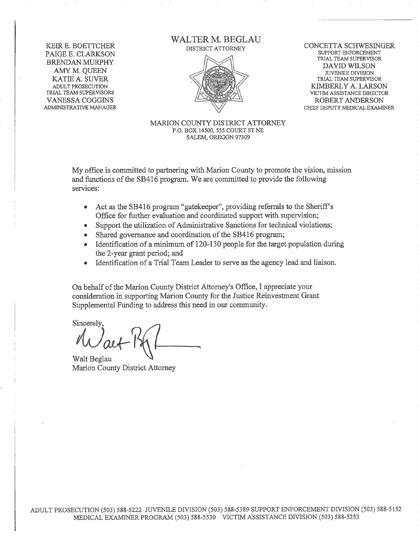KEIR E. BOETTCHER PAIGE E. CLARKSON **BRENDAN MURPHY** AMY M. QUEEN KATIE A. SUVER ADULT PROSECUTION TRIAL TEAM SUPERVISORS VANESSA COGGINS **ADMINISTRATIVE MANAGER**  **WALTER M. BEGLAU** DISTRICT ATTORNEY



CONCETTA SCHWESINGER SUPPORT ENFORCEMENT TRIAL TEAM SUPERVISOR **DAVID WILSON JUVENILE DIVISION** TRIAL TEAM SUPERVISOR KIMBERLY A. LARSON VICTIM ASSISTANCE DIRECTOR ROBERT ANDERSON CHIEF DEPUTY MEDICAL EXAMINER

**MARION COUNTY DISTRICT ATTORNEY** P.O. BOX 14500, 555 COURT ST NE SALEM, OREGON 97309

My office is committed to partnering with Marion County to promote the vision, mission and functions of the SB416 program. We are committed to provide the following services:

- Act as the SB416 program "gatekeeper", providing referrals to the Sheriff's  $\bullet$ Office for further evaluation and coordinated support with supervision;
- Support the utilization of Administrative Sanctions for technical violations;
- Shared governance and coordination of the SB416 program;
- Identification of a minimum of 120-130 people for the target population during the 2-year grant period; and
- Identification of a Trial Team Leader to serve as the agency lead and liaison.

On behalf of the Marion County District Attorney's Office, I appreciate your consideration in supporting Marion County for the Justice Reinvestment Grant Supplemental Funding to address this need in our community.

Sincerely

Walt Beglau Marion County District Attorney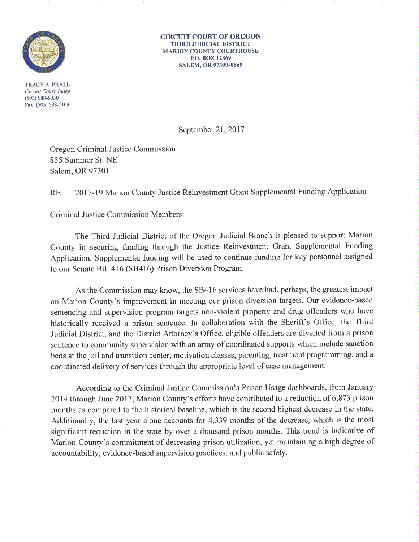

TRACY A. PRALL Circuit Court Judge  $(503) 588 - 5030$ Fax: (503) 588-5109

**CIRCUIT COURT OF OREGON THIRD JUDICIAL DISTRICT MARION COUNTY COURTHOUSE** P.O. BOX 12869 SALEM, OR 97309-0869

September 21, 2017

Oregon Criminal Justice Commission 855 Summer St. NE Salem, OR 97301

2017-19 Marion County Justice Reinvestment Grant Supplemental Funding Application RE:

**Criminal Justice Commission Members:** 

The Third Judicial District of the Oregon Judicial Branch is pleased to support Marion County in securing funding through the Justice Reinvestment Grant Supplemental Funding Application. Supplemental funding will be used to continue funding for key personnel assigned to our Senate Bill 416 (SB416) Prison Diversion Program.

As the Commission may know, the SB416 services have had, perhaps, the greatest impact on Marion County's improvement in meeting our prison diversion targets. Our evidence-based sentencing and supervision program targets non-violent property and drug offenders who have historically received a prison sentence. In collaboration with the Sheriff's Office, the Third Judicial District, and the District Attorney's Office, eligible offenders are diverted from a prison sentence to community supervision with an array of coordinated supports which include sanction beds at the jail and transition center, motivation classes, parenting, treatment programming, and a coordinated delivery of services through the appropriate level of case management.

According to the Criminal Justice Commission's Prison Usage dashboards, from January 2014 through June 2017, Marion County's efforts have contributed to a reduction of 6,873 prison months as compared to the historical baseline, which is the second highest decrease in the state. Additionally, the last year alone accounts for 4,339 months of the decrease, which is the most significant reduction in the state by over a thousand prison months. This trend is indicative of Marion County's commitment of decreasing prison utilization, yet maintaining a high degree of accountability, evidence-based supervision practices, and public safety.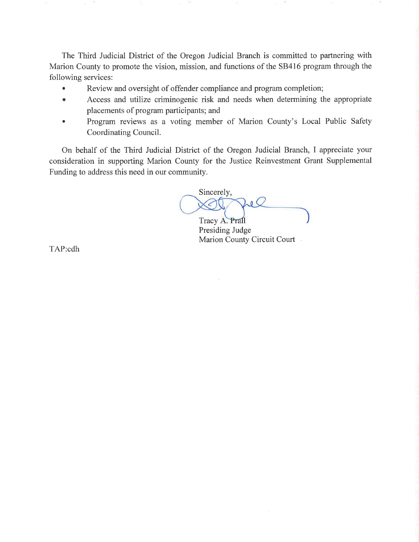The Third Judicial District of the Oregon Judicial Branch is committed to partnering with Marion County to promote the vision, mission, and functions of the SB416 program through the following services:

- Review and oversight of offender compliance and program completion;  $\bullet$
- Access and utilize criminogenic risk and needs when determining the appropriate  $\bullet$ placements of program participants; and
- Program reviews as a voting member of Marion County's Local Public Safety  $\bullet$ Coordinating Council.

On behalf of the Third Judicial District of the Oregon Judicial Branch, I appreciate your consideration in supporting Marion County for the Justice Reinvestment Grant Supplemental Funding to address this need in our community.

Sincerely,  $\mathbf{a}$ 

Tracy A. Prail Presiding Judge Marion County Circuit Court

TAP:cdh